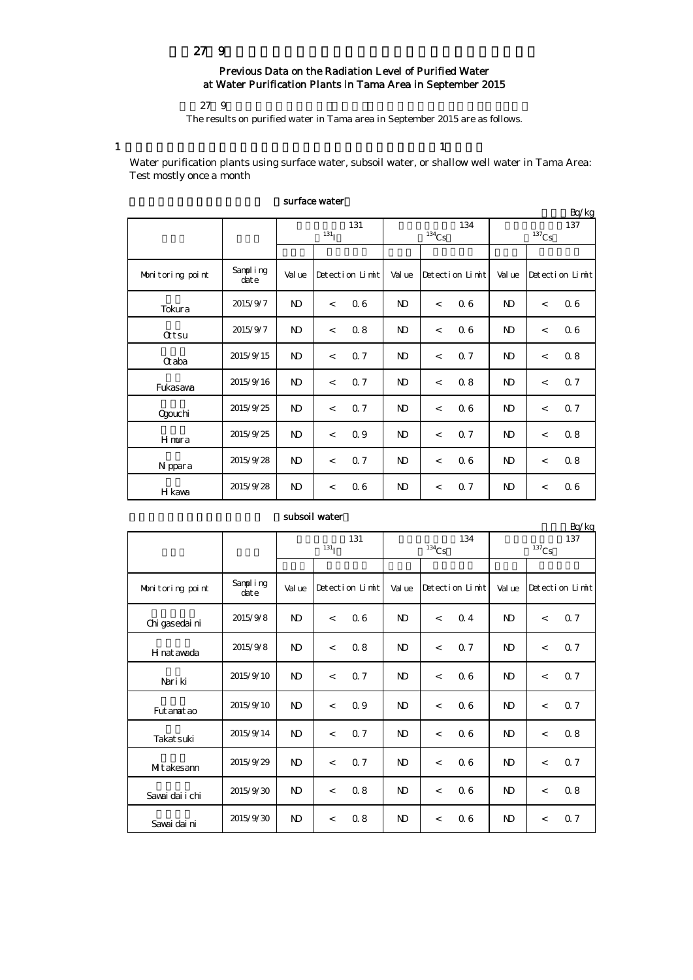# 平成27年9月の多摩地区等浄水所の水道水の放射能測定結果について

## Previous Data on the Radiation Level of Purified Water at Water Purification Plants in Tama Area in September 2015

 $279$ 

The results on purified water in Tama area in September 2015 are as follows.

1  $\frac{1}{1}$ 

Water purification plants using surface water, subsoil water, or shallow well water in Tama Area: Test mostly once a month

|                  |                  |                |                          |                 |                |                     |                 |                |                | Bq/kg           |  |
|------------------|------------------|----------------|--------------------------|-----------------|----------------|---------------------|-----------------|----------------|----------------|-----------------|--|
|                  |                  | 131            |                          |                 |                |                     | 134             | 137            |                |                 |  |
|                  |                  |                | 131 <sub>I</sub>         |                 |                | $^{134}\mathrm{Cs}$ |                 |                | $137$ Cs       |                 |  |
|                  |                  |                |                          |                 |                |                     |                 |                |                |                 |  |
| Monitoring point | Sampling<br>date | Val ue         |                          | Detection Limit | Val ue         |                     | Detection Limit | Val ue         |                | Detection Limit |  |
| Tokura           | 2015/9/7         | N <sub>D</sub> | $\,<$                    | 06              | $\mathbf{D}$   | $\lt$               | 06              | N <sub>D</sub> | $\overline{a}$ | 06              |  |
| <b>Qtsu</b>      | 2015/9/7         | $\mathbf{N}$   | $\lt$                    | 0.8             | N <sub>D</sub> | $\overline{a}$      | 06              | ND             | $\overline{a}$ | 06              |  |
| <b>G</b> aba     | 2015/9/15        | N <sub>D</sub> | $\lt$                    | 0.7             | $\mathbf{N}$   | $\overline{a}$      | 0.7             | N <sub>D</sub> | $\,<\,$        | 0.8             |  |
| Fukasawa         | 2015/9/16        | N <sub>D</sub> | $\,<\,$                  | 0.7             | N <sub>D</sub> | $\overline{a}$      | 0.8             | N <sub>D</sub> | $\overline{a}$ | 0.7             |  |
| Ogouchi          | 2015/9/25        | N <sub>D</sub> | $\overline{\phantom{a}}$ | 0.7             | $\mathbf{D}$   | $\overline{a}$      | 06              | ND             | $\,<\,$        | 0.7             |  |
| Hmura            | 2015/9/25        | N <sub>D</sub> | $\lt$                    | 0.9             | N <sub>D</sub> | $\overline{a}$      | 0.7             | ND             | $\,<\,$        | 0.8             |  |
| N ppara          | 2015/9/28        | N <sub>D</sub> | $\lt$                    | 0.7             | N <sub>D</sub> | $\,<\,$             | 06              | ND             | $\,<\,$        | 0.8             |  |
| H kawa           | 2015/9/28        | N <sub>D</sub> | $\overline{a}$           | 06              | $\mathbf{N}$   | $\lt$               | 0.7             | $\mathbf{D}$   | $\lt$          | 06              |  |

### surface water

| subsoil water |                  |     |  |
|---------------|------------------|-----|--|
|               |                  | 131 |  |
|               | 131 <sub>T</sub> |     |  |
|               |                  |     |  |

単位:Bq/kg

|                  |                  | 131<br>131 <sub>T</sub> |                 |      |                | $^{134}\mathrm{Cs}$      | 134 | 137<br>$137$ Cs |                 |     |  |
|------------------|------------------|-------------------------|-----------------|------|----------------|--------------------------|-----|-----------------|-----------------|-----|--|
|                  |                  |                         |                 |      |                |                          |     |                 |                 |     |  |
| Monitoring point | Sampling<br>date | Val ue                  | Detection Limit |      | Val ue         | Detection Limit          |     | Val ue          | Detection Limit |     |  |
| Chi gasedai ni   | 2015/9/8         | <sub>N</sub>            | $\overline{a}$  | 06   | <sub>N</sub>   | $\overline{\phantom{a}}$ | 0.4 | N <sub>D</sub>  | $\lt$           | 0.7 |  |
| H nat awada      | 2015/9/8         | N <sub>D</sub>          | $\lt$           | 0.8  | $\mathbf{D}$   | $\overline{\phantom{a}}$ | 0.7 | N <sub>D</sub>  | $\lt$           | 0.7 |  |
| Nari ki          | 2015/9/10        | N <sub>D</sub>          | $\overline{a}$  | 0. 7 | $\mathbf{D}$   | $\overline{a}$           | 06  | N <sub>D</sub>  | $\,<$           | Q 7 |  |
| Fut anat ao      | 2015/9/10        | N <sub>D</sub>          | $\lt$           | 0.9  | $\mathbf{D}$   | $\overline{a}$           | 0.6 | $\mathbf{D}$    | $\,<$           | 0.7 |  |
| Takat suki       | 2015/9/14        | N <sub>D</sub>          | $\overline{a}$  | 0.7  | $\mathbf{D}$   | $\overline{\phantom{a}}$ | 06  | $\mathbf{D}$    | $\lt$           | 0.8 |  |
| MItakesann       | 2015/9/29        | N <sub>D</sub>          | $\lt$           | 0.7  | $\mathbf{D}$   | $\overline{a}$           | 06  | N <sub>D</sub>  | $\,<$           | 0.7 |  |
| Savai dai i chi  | 2015/9/30        | N <sub>D</sub>          | $\lt$           | 0.8  | N <sub>D</sub> | $\overline{\phantom{a}}$ | 06  | N <sub>D</sub>  | $\,<$           | 0.8 |  |
| Savai dai ni     | 2015/9/30        | N <sub>D</sub>          | $\lt$           | 0.8  | $\mathbf{D}$   | $\,<$                    | 06  | $\mathbf{D}$    | $\lt$           | 0.7 |  |